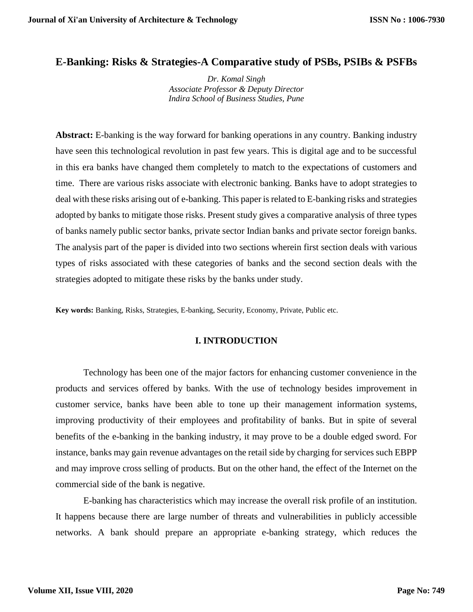#### **E-Banking: Risks & Strategies-A Comparative study of PSBs, PSIBs & PSFBs**

*Dr. Komal Singh Associate Professor & Deputy Director Indira School of Business Studies, Pune*

**Abstract:** E-banking is the way forward for banking operations in any country. Banking industry have seen this technological revolution in past few years. This is digital age and to be successful in this era banks have changed them completely to match to the expectations of customers and time. There are various risks associate with electronic banking. Banks have to adopt strategies to deal with these risks arising out of e-banking. This paper is related to E-banking risks and strategies adopted by banks to mitigate those risks. Present study gives a comparative analysis of three types of banks namely public sector banks, private sector Indian banks and private sector foreign banks. The analysis part of the paper is divided into two sections wherein first section deals with various types of risks associated with these categories of banks and the second section deals with the strategies adopted to mitigate these risks by the banks under study.

**Key words:** Banking, Risks, Strategies, E-banking, Security, Economy, Private, Public etc.

#### **I. INTRODUCTION**

Technology has been one of the major factors for enhancing customer convenience in the products and services offered by banks. With the use of technology besides improvement in customer service, banks have been able to tone up their management information systems, improving productivity of their employees and profitability of banks. But in spite of several benefits of the e-banking in the banking industry, it may prove to be a double edged sword. For instance, banks may gain revenue advantages on the retail side by charging for services such EBPP and may improve cross selling of products. But on the other hand, the effect of the Internet on the commercial side of the bank is negative.

E-banking has characteristics which may increase the overall risk profile of an institution. It happens because there are large number of threats and vulnerabilities in publicly accessible networks. A bank should prepare an appropriate e-banking strategy, which reduces the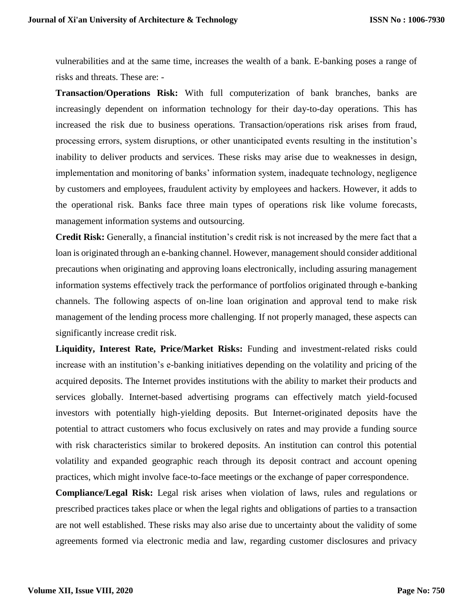vulnerabilities and at the same time, increases the wealth of a bank. E-banking poses a range of risks and threats. These are: -

**Transaction/Operations Risk:** With full computerization of bank branches, banks are increasingly dependent on information technology for their day-to-day operations. This has increased the risk due to business operations. Transaction/operations risk arises from fraud, processing errors, system disruptions, or other unanticipated events resulting in the institution's inability to deliver products and services. These risks may arise due to weaknesses in design, implementation and monitoring of banks' information system, inadequate technology, negligence by customers and employees, fraudulent activity by employees and hackers. However, it adds to the operational risk. Banks face three main types of operations risk like volume forecasts, management information systems and outsourcing.

**Credit Risk:** Generally, a financial institution's credit risk is not increased by the mere fact that a loan is originated through an e-banking channel. However, management should consider additional precautions when originating and approving loans electronically, including assuring management information systems effectively track the performance of portfolios originated through e-banking channels. The following aspects of on-line loan origination and approval tend to make risk management of the lending process more challenging. If not properly managed, these aspects can significantly increase credit risk.

**Liquidity, Interest Rate, Price/Market Risks:** Funding and investment-related risks could increase with an institution's e-banking initiatives depending on the volatility and pricing of the acquired deposits. The Internet provides institutions with the ability to market their products and services globally. Internet-based advertising programs can effectively match yield-focused investors with potentially high-yielding deposits. But Internet-originated deposits have the potential to attract customers who focus exclusively on rates and may provide a funding source with risk characteristics similar to brokered deposits. An institution can control this potential volatility and expanded geographic reach through its deposit contract and account opening practices, which might involve face-to-face meetings or the exchange of paper correspondence.

**Compliance/Legal Risk:** Legal risk arises when violation of laws, rules and regulations or prescribed practices takes place or when the legal rights and obligations of parties to a transaction are not well established. These risks may also arise due to uncertainty about the validity of some agreements formed via electronic media and law, regarding customer disclosures and privacy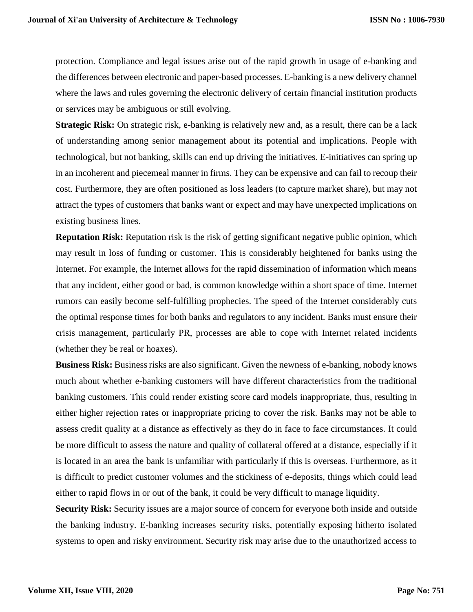protection. Compliance and legal issues arise out of the rapid growth in usage of e-banking and the differences between electronic and paper-based processes. E-banking is a new delivery channel where the laws and rules governing the electronic delivery of certain financial institution products or services may be ambiguous or still evolving.

**Strategic Risk:** On strategic risk, e-banking is relatively new and, as a result, there can be a lack of understanding among senior management about its potential and implications. People with technological, but not banking, skills can end up driving the initiatives. E-initiatives can spring up in an incoherent and piecemeal manner in firms. They can be expensive and can fail to recoup their cost. Furthermore, they are often positioned as loss leaders (to capture market share), but may not attract the types of customers that banks want or expect and may have unexpected implications on existing business lines.

**Reputation Risk:** Reputation risk is the risk of getting significant negative public opinion, which may result in loss of funding or customer. This is considerably heightened for banks using the Internet. For example, the Internet allows for the rapid dissemination of information which means that any incident, either good or bad, is common knowledge within a short space of time. Internet rumors can easily become self-fulfilling prophecies. The speed of the Internet considerably cuts the optimal response times for both banks and regulators to any incident. Banks must ensure their crisis management, particularly PR, processes are able to cope with Internet related incidents (whether they be real or hoaxes).

**Business Risk:** Business risks are also significant. Given the newness of e-banking, nobody knows much about whether e-banking customers will have different characteristics from the traditional banking customers. This could render existing score card models inappropriate, thus, resulting in either higher rejection rates or inappropriate pricing to cover the risk. Banks may not be able to assess credit quality at a distance as effectively as they do in face to face circumstances. It could be more difficult to assess the nature and quality of collateral offered at a distance, especially if it is located in an area the bank is unfamiliar with particularly if this is overseas. Furthermore, as it is difficult to predict customer volumes and the stickiness of e-deposits, things which could lead either to rapid flows in or out of the bank, it could be very difficult to manage liquidity.

**Security Risk:** Security issues are a major source of concern for everyone both inside and outside the banking industry. E-banking increases security risks, potentially exposing hitherto isolated systems to open and risky environment. Security risk may arise due to the unauthorized access to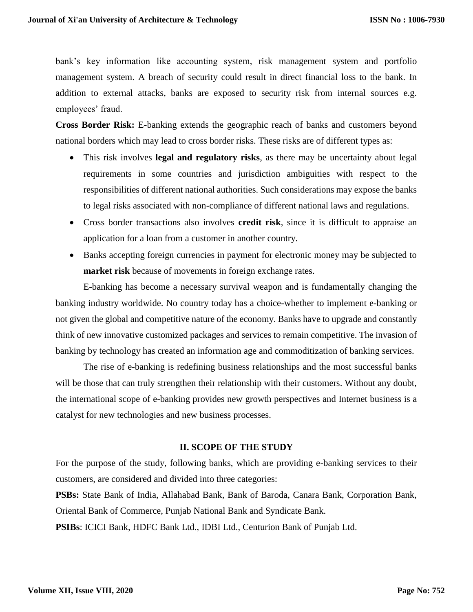bank's key information like accounting system, risk management system and portfolio management system. A breach of security could result in direct financial loss to the bank. In addition to external attacks, banks are exposed to security risk from internal sources e.g. employees' fraud.

**Cross Border Risk:** E-banking extends the geographic reach of banks and customers beyond national borders which may lead to cross border risks. These risks are of different types as:

- This risk involves **legal and regulatory risks**, as there may be uncertainty about legal requirements in some countries and jurisdiction ambiguities with respect to the responsibilities of different national authorities. Such considerations may expose the banks to legal risks associated with non-compliance of different national laws and regulations.
- Cross border transactions also involves **credit risk**, since it is difficult to appraise an application for a loan from a customer in another country.
- Banks accepting foreign currencies in payment for electronic money may be subjected to **market risk** because of movements in foreign exchange rates.

E-banking has become a necessary survival weapon and is fundamentally changing the banking industry worldwide. No country today has a choice-whether to implement e-banking or not given the global and competitive nature of the economy. Banks have to upgrade and constantly think of new innovative customized packages and services to remain competitive. The invasion of banking by technology has created an information age and commoditization of banking services.

The rise of e-banking is redefining business relationships and the most successful banks will be those that can truly strengthen their relationship with their customers. Without any doubt, the international scope of e-banking provides new growth perspectives and Internet business is a catalyst for new technologies and new business processes.

#### **II. SCOPE OF THE STUDY**

For the purpose of the study, following banks, which are providing e-banking services to their customers, are considered and divided into three categories:

**PSBs:** State Bank of India, Allahabad Bank, Bank of Baroda, Canara Bank, Corporation Bank, Oriental Bank of Commerce, Punjab National Bank and Syndicate Bank.

**PSIBs**: ICICI Bank, HDFC Bank Ltd., IDBI Ltd., Centurion Bank of Punjab Ltd.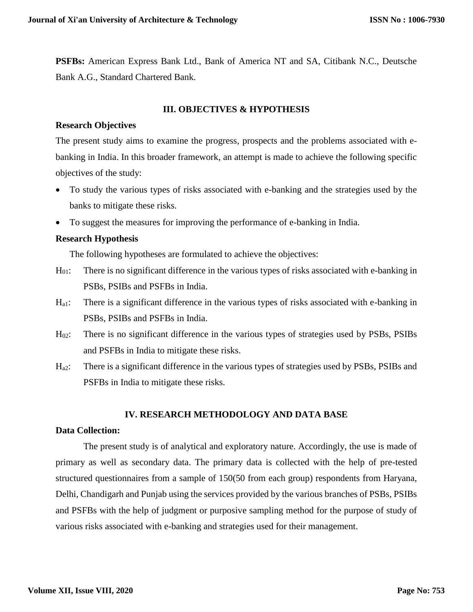**PSFBs:** American Express Bank Ltd., Bank of America NT and SA, Citibank N.C., Deutsche Bank A.G., Standard Chartered Bank.

#### **III. OBJECTIVES & HYPOTHESIS**

#### **Research Objectives**

The present study aims to examine the progress, prospects and the problems associated with ebanking in India. In this broader framework, an attempt is made to achieve the following specific objectives of the study:

- To study the various types of risks associated with e-banking and the strategies used by the banks to mitigate these risks.
- To suggest the measures for improving the performance of e-banking in India.

#### **Research Hypothesis**

The following hypotheses are formulated to achieve the objectives:

- H<sub>01</sub>: There is no significant difference in the various types of risks associated with e-banking in PSBs, PSIBs and PSFBs in India.
- Ha1: There is a significant difference in the various types of risks associated with e-banking in PSBs, PSIBs and PSFBs in India.
- H02: There is no significant difference in the various types of strategies used by PSBs, PSIBs and PSFBs in India to mitigate these risks.
- Ha2: There is a significant difference in the various types of strategies used by PSBs, PSIBs and PSFBs in India to mitigate these risks.

#### **IV. RESEARCH METHODOLOGY AND DATA BASE**

#### **Data Collection:**

The present study is of analytical and exploratory nature. Accordingly, the use is made of primary as well as secondary data. The primary data is collected with the help of pre-tested structured questionnaires from a sample of 150(50 from each group) respondents from Haryana, Delhi, Chandigarh and Punjab using the services provided by the various branches of PSBs, PSIBs and PSFBs with the help of judgment or purposive sampling method for the purpose of study of various risks associated with e-banking and strategies used for their management.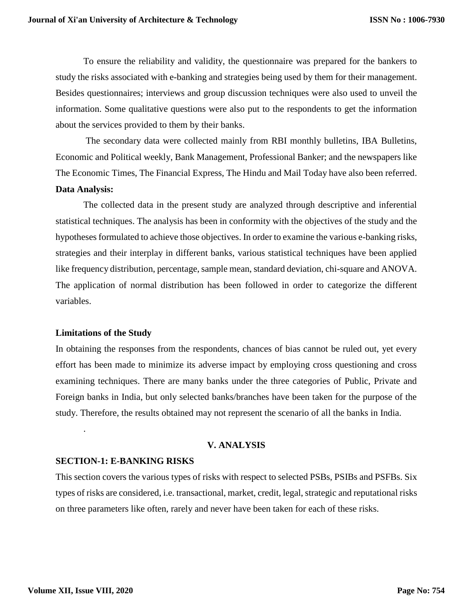To ensure the reliability and validity, the questionnaire was prepared for the bankers to study the risks associated with e-banking and strategies being used by them for their management. Besides questionnaires; interviews and group discussion techniques were also used to unveil the information. Some qualitative questions were also put to the respondents to get the information about the services provided to them by their banks.

The secondary data were collected mainly from RBI monthly bulletins, IBA Bulletins, Economic and Political weekly, Bank Management, Professional Banker; and the newspapers like The Economic Times, The Financial Express, The Hindu and Mail Today have also been referred. **Data Analysis:**

The collected data in the present study are analyzed through descriptive and inferential statistical techniques. The analysis has been in conformity with the objectives of the study and the hypotheses formulated to achieve those objectives. In order to examine the various e-banking risks, strategies and their interplay in different banks, various statistical techniques have been applied like frequency distribution, percentage, sample mean, standard deviation, chi-square and ANOVA. The application of normal distribution has been followed in order to categorize the different variables.

#### **Limitations of the Study**

In obtaining the responses from the respondents, chances of bias cannot be ruled out, yet every effort has been made to minimize its adverse impact by employing cross questioning and cross examining techniques. There are many banks under the three categories of Public, Private and Foreign banks in India, but only selected banks/branches have been taken for the purpose of the study. Therefore, the results obtained may not represent the scenario of all the banks in India.

#### **V. ANALYSIS**

#### **SECTION-1: E-BANKING RISKS**

This section covers the various types of risks with respect to selected PSBs, PSIBs and PSFBs. Six types of risks are considered, i.e. transactional, market, credit, legal, strategic and reputational risks on three parameters like often, rarely and never have been taken for each of these risks.

.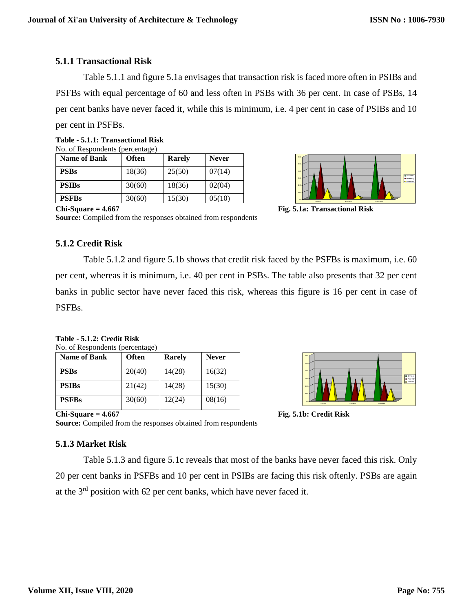### **5.1.1 Transactional Risk**

Table 5.1.1 and figure 5.1a envisages that transaction risk is faced more often in PSIBs and PSFBs with equal percentage of 60 and less often in PSBs with 36 per cent. In case of PSBs, 14 per cent banks have never faced it, while this is minimum, i.e. 4 per cent in case of PSIBs and 10

per cent in PSFBs.

| Table - 5.1.1: Transactional Risk |  |
|-----------------------------------|--|
| No. of Respondents (percentage)   |  |

| <b>Name of Bank</b> | <b>Often</b> | <b>Rarely</b> | <b>Never</b> |
|---------------------|--------------|---------------|--------------|
| <b>PSBs</b>         | 18(36)       | 25(50)        | 07(14)       |
| <b>PSIBs</b>        | 30(60)       | 18(36)        | 02(04)       |
| <b>PSFBs</b>        | 30(60)       | 15(30)        | 05(10)       |



**Chi-Square = 4.667 Fig. 5.1a: Transactional Risk**

**Source:** Compiled from the responses obtained from respondents

#### **5.1.2 Credit Risk**

Table 5.1.2 and figure 5.1b shows that credit risk faced by the PSFBs is maximum, i.e. 60 per cent, whereas it is minimum, i.e. 40 per cent in PSBs. The table also presents that 32 per cent banks in public sector have never faced this risk, whereas this figure is 16 per cent in case of PSFBs.

**Table - 5.1.2: Credit Risk** No. of Respondents (percentage)

| <b>Name of Bank</b> | <b>Often</b> | <b>Rarely</b> | <b>Never</b> |
|---------------------|--------------|---------------|--------------|
| <b>PSBs</b>         | 20(40)       | 14(28)        | 16(32)       |
| <b>PSIBs</b>        | 21(42)       | 14(28)        | 15(30)       |
| <b>PSFBs</b>        | 30(60)       | 12(24)        | 08(16)       |



**Chi-Square = 4.667 Fig. 5.1b: Credit Risk**

**Source:** Compiled from the responses obtained from respondents

#### **5.1.3 Market Risk**

Table 5.1.3 and figure 5.1c reveals that most of the banks have never faced this risk. Only 20 per cent banks in PSFBs and 10 per cent in PSIBs are facing this risk oftenly. PSBs are again at the 3rd position with 62 per cent banks, which have never faced it.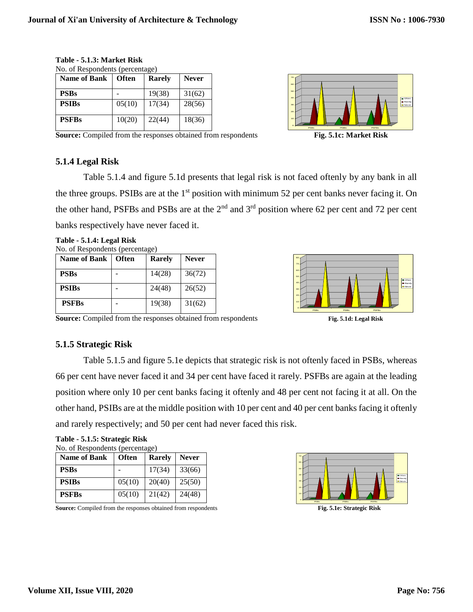| <b>Name of Bank</b> | <b>Often</b> | <b>Rarely</b> | <b>Never</b> |
|---------------------|--------------|---------------|--------------|
| <b>PSBs</b>         |              | 19(38)        | 31(62)       |
| <b>PSIBs</b>        | 05(10)       | 17(34)        | 28(56)       |
| <b>PSFBs</b>        | 10(20)       | 22(44)        | 18(36)       |



**Source:** Compiled from the responses obtained from respondents **Fig. 5.1c: Market Risk**

#### **5.1.4 Legal Risk**



Table 5.1.4 and figure 5.1d presents that legal risk is not faced oftenly by any bank in all the three groups. PSIBs are at the  $1<sup>st</sup>$  position with minimum 52 per cent banks never facing it. On the other hand, PSFBs and PSBs are at the  $2<sup>nd</sup>$  and  $3<sup>rd</sup>$  position where 62 per cent and 72 per cent banks respectively have never faced it.

**Table - 5.1.4: Legal Risk** No. of Respondents (percentage)

| <b>Name of Bank</b> | <b>Often</b> | <b>Rarely</b> | <b>Never</b> |
|---------------------|--------------|---------------|--------------|
| <b>PSBs</b>         |              | 14(28)        | 36(72)       |
| <b>PSIBs</b>        |              | 24(48)        | 26(52)       |
| <b>PSFBs</b>        |              | 19(38)        | 31(62)       |



**Source:** Compiled from the responses obtained from respondents **Fig. 5.1d: Legal Risk**

#### **5.1.5 Strategic Risk**

**Table - 5.1.5: Strategic Risk**

Table 5.1.5 and figure 5.1e depicts that strategic risk is not oftenly faced in PSBs, whereas 66 per cent have never faced it and 34 per cent have faced it rarely. PSFBs are again at the leading position where only 10 per cent banks facing it oftenly and 48 per cent not facing it at all. On the other hand, PSIBs are at the middle position with 10 per cent and 40 per cent banks facing it oftenly and rarely respectively; and 50 per cent had never faced this risk.

| No. of Respondents (percentage) |              |        |              |
|---------------------------------|--------------|--------|--------------|
| <b>Name of Bank</b>             | <b>Often</b> | Rarely | <b>Never</b> |
| <b>PSBs</b>                     |              | 17(34) | 33(66)       |
| <b>PSIBs</b>                    | 05(10)       | 20(40) | 25(50)       |
| <b>PSFBs</b>                    | 05(10)       | 21(42) | 24(48)       |

**Example 1**<br> **Source:** Compiled from the responses obtained from respondents **Fig. 5.1e: Strategic Risk** 

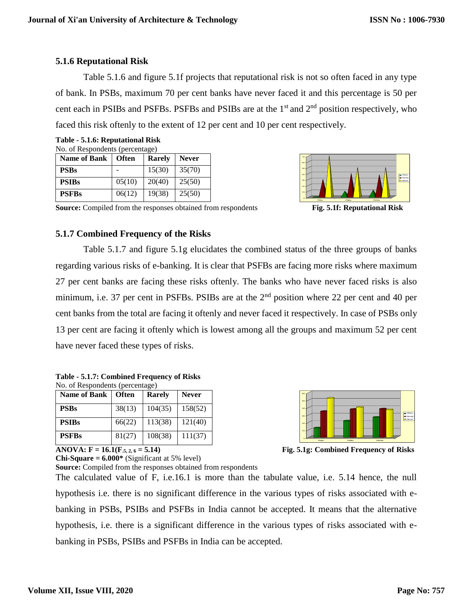## **5.1.6 Reputational Risk**

Table 5.1.6 and figure 5.1f projects that reputational risk is not so often faced in any type of bank. In PSBs, maximum 70 per cent banks have never faced it and this percentage is 50 per cent each in PSIBs and PSFBs. PSFBs and PSIBs are at the  $1<sup>st</sup>$  and  $2<sup>nd</sup>$  position respectively, who faced this risk oftenly to the extent of 12 per cent and 10 per cent respectively.

| Table - 5.1.6: Reputational Risk |  |
|----------------------------------|--|
| No. of Respondents (percentage)  |  |

| <b>Name of Bank</b> | <b>Often</b> | <b>Rarely</b> | <b>Never</b> |
|---------------------|--------------|---------------|--------------|
| <b>PSBs</b>         |              | 15(30)        | 35(70)       |
| <b>PSIBs</b>        | 05(10)       | 20(40)        | 25(50)       |
| <b>PSFBs</b>        | 06(12)       | 19(38)        | 25(50)       |



#### **Source:** Compiled from the responses obtained from respondents **Fig. 5.1f: Reputational Risk**

#### **5.1.7 Combined Frequency of the Risks**

Table 5.1.7 and figure 5.1g elucidates the combined status of the three groups of banks regarding various risks of e-banking. It is clear that PSFBs are facing more risks where maximum 27 per cent banks are facing these risks oftenly. The banks who have never faced risks is also minimum, i.e. 37 per cent in PSFBs. PSIBs are at the 2<sup>nd</sup> position where 22 per cent and 40 per cent banks from the total are facing it oftenly and never faced it respectively. In case of PSBs only 13 per cent are facing it oftenly which is lowest among all the groups and maximum 52 per cent have never faced these types of risks.

| Table - 5.1.7: Combined Frequency of Risks |
|--------------------------------------------|
| No. of Respondents (percentage)            |

| <b>Name of Bank</b> | <b>Often</b> | <b>Rarely</b> | <b>Never</b> |
|---------------------|--------------|---------------|--------------|
| <b>PSBs</b>         | 38(13)       | 104(35)       | 158(52)      |
| <b>PSIBs</b>        | 66(22)       | 113(38)       | 121(40)      |
| <b>PSFBs</b>        | 81(27)       | 108(38)       | 111(37)      |

**Chi-Square = 6.000\*** (Significant at 5% level)



**ANOVA: F = 16.1(F.5, 2, 6 = 5.14) Fig. 5.1g: Combined Frequency of Risks**

**Source:** Compiled from the responses obtained from respondents The calculated value of F, i.e.16.1 is more than the tabulate value, i.e. 5.14 hence, the null hypothesis i.e. there is no significant difference in the various types of risks associated with ebanking in PSBs, PSIBs and PSFBs in India cannot be accepted. It means that the alternative hypothesis, i.e. there is a significant difference in the various types of risks associated with ebanking in PSBs, PSIBs and PSFBs in India can be accepted.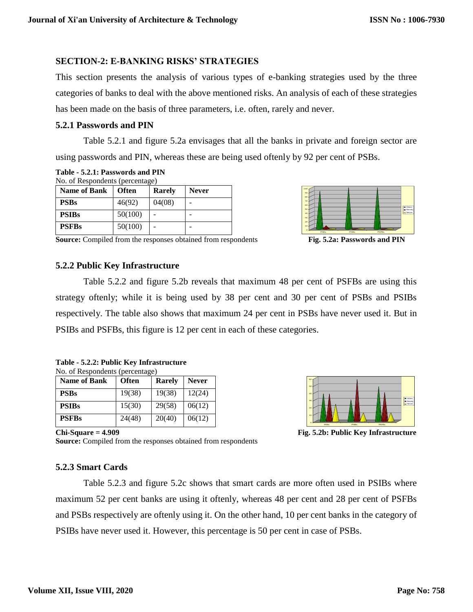### **SECTION-2: E-BANKING RISKS' STRATEGIES**

This section presents the analysis of various types of e-banking strategies used by the three categories of banks to deal with the above mentioned risks. An analysis of each of these strategies has been made on the basis of three parameters, i.e. often, rarely and never.

#### **5.2.1 Passwords and PIN**

Table 5.2.1 and figure 5.2a envisages that all the banks in private and foreign sector are using passwords and PIN, whereas these are being used oftenly by 92 per cent of PSBs.

**Table - 5.2.1: Passwords and PIN**

No. of Respondents (percentage)

| <b>Name of Bank</b> | <b>Often</b> | <b>Rarely</b> | <b>Never</b> |
|---------------------|--------------|---------------|--------------|
| <b>PSBs</b>         | 46(92)       | 04(08)        |              |
| <b>PSIBs</b>        | 50(100)      |               |              |
| <b>PSFBs</b>        | 50(100)      |               |              |



**Source:** Compiled from the responses obtained from respondents **Fig. 5.2a: Passwords and PIN**

#### **5.2.2 Public Key Infrastructure**



| Table - 5.2.2: Public Key Infrastructure |  |
|------------------------------------------|--|
| No. of Respondents (percentage)          |  |

| <b>Name of Bank</b> | <b>Often</b> | <b>Rarely</b> | <b>Never</b> |
|---------------------|--------------|---------------|--------------|
| <b>PSBs</b>         | 19(38)       | 19(38)        | 12(24)       |
| <b>PSIBs</b>        | 15(30)       | 29(58)        | 06(12)       |
| <b>PSFBs</b>        | 24(48)       | 20(40)        | 06(12)       |



**Chi-Square = 4.909 Fig. 5.2b: Public Key Infrastructure**

**Source:** Compiled from the responses obtained from respondents

#### **5.2.3 Smart Cards**

Table 5.2.3 and figure 5.2c shows that smart cards are more often used in PSIBs where maximum 52 per cent banks are using it oftenly, whereas 48 per cent and 28 per cent of PSFBs and PSBs respectively are oftenly using it. On the other hand, 10 per cent banks in the category of PSIBs have never used it. However, this percentage is 50 per cent in case of PSBs.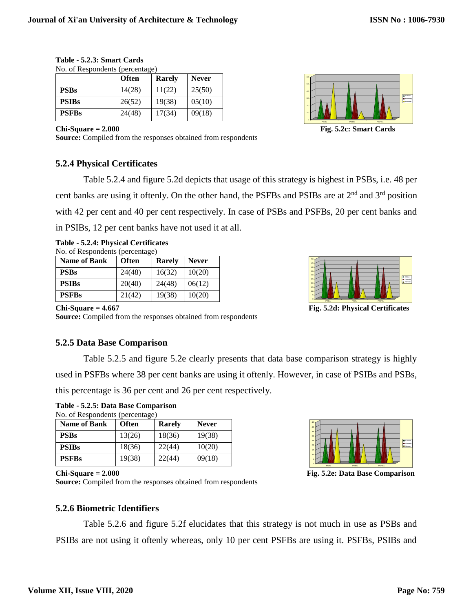|              | <b>Often</b> | Rarely | <b>Never</b> |
|--------------|--------------|--------|--------------|
| <b>PSBs</b>  | 14(28)       | 11(22) | 25(50)       |
| <b>PSIBs</b> | 26(52)       | 19(38) | 05(10)       |
| <b>PSFBs</b> | 24(48)       | 17(34) | 09(18)       |

| Table - 5.2.3: Smart Cards      |  |
|---------------------------------|--|
| No. of Respondents (percentage) |  |

**Chi-Square = 2.000 Fig. 5.2c: Smart Cards**

**Source:** Compiled from the responses obtained from respondents

#### **5.2.4 Physical Certificates**

0 10 20 30 40 50 60 - C PSBs PSIBs PSFBs Often Rarely New car 1

## Table 5.2.4 and figure 5.2d depicts that usage of this strategy is highest in PSBs, i.e. 48 per cent banks are using it oftenly. On the other hand, the PSFBs and PSIBs are at  $2<sup>nd</sup>$  and  $3<sup>rd</sup>$  position with 42 per cent and 40 per cent respectively. In case of PSBs and PSFBs, 20 per cent banks and in PSIBs, 12 per cent banks have not used it at all.

|                                 | Table - 5.2.4: Physical Certificates |
|---------------------------------|--------------------------------------|
| No. of Respondents (percentage) |                                      |

| <b>Name of Bank</b> | <b>Often</b> | <b>Rarely</b> | <b>Never</b> |
|---------------------|--------------|---------------|--------------|
| <b>PSBs</b>         | 24(48)       | 16(32)        | 10(20)       |
| <b>PSIBs</b>        | 20(40)       | 24(48)        | 06(12)       |
| <b>PSFBs</b>        | 21(42)       | 19(38)        | 10(20)       |

0 5 10 15 20 25 30 35 40 45 50 PSBs PSIBs PSFBs Often **I** Rarely Never<sub>t</sub>

**Chi-Square = 4.667 Fig. 5.2d: Physical Certificates**

**Source:** Compiled from the responses obtained from respondents

#### **5.2.5 Data Base Comparison**

**Table - 5.2.5: Data Base Comparison** 

Table 5.2.5 and figure 5.2e clearly presents that data base comparison strategy is highly used in PSFBs where 38 per cent banks are using it oftenly. However, in case of PSIBs and PSBs, this percentage is 36 per cent and 26 per cent respectively.

| <b>Name of Bank</b> | <b>Often</b> | <b>Rarely</b> | <b>Never</b> |
|---------------------|--------------|---------------|--------------|
| <b>PSBs</b>         | 13(26)       | 18(36)        | 19(38)       |
| <b>PSIBs</b>        | 18(36)       | 22(44)        | 10(20)       |
| <b>PSFBs</b>        | 19(38)       | 22(44)        | 09(18)       |



**Chi-Square = 2.000 Fig. 5.2e: Data Base Comparison** 

**Source:** Compiled from the responses obtained from respondents

#### **5.2.6 Biometric Identifiers**

Table 5.2.6 and figure 5.2f elucidates that this strategy is not much in use as PSBs and PSIBs are not using it oftenly whereas, only 10 per cent PSFBs are using it. PSFBs, PSIBs and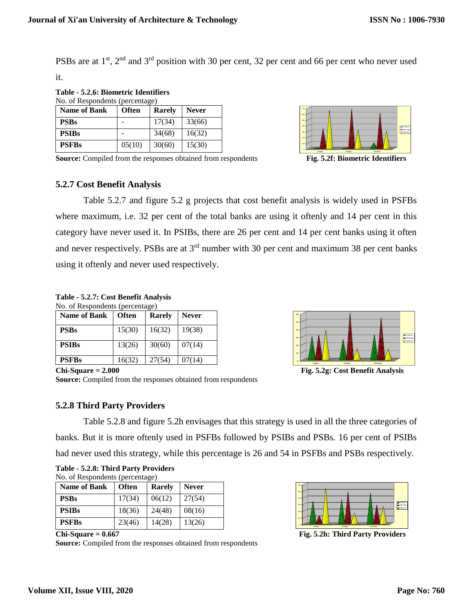PSBs are at 1<sup>st</sup>, 2<sup>nd</sup> and 3<sup>rd</sup> position with 30 per cent, 32 per cent and 66 per cent who never used it.

**Table - 5.2.6: Biometric Identifiers**  No. of Respondents (percentage)

| <b>Name of Bank</b> | <b>Often</b> | Rarely | <b>Never</b> |
|---------------------|--------------|--------|--------------|
| <b>PSBs</b>         |              | 17(34) | 33(66)       |
| <b>PSIBs</b>        |              | 34(68) | 16(32)       |
| <b>PSFBs</b>        | 05(10)       | 30(60) | 15(30)       |



**Source:** Compiled from the responses obtained from respondents **Fig. 5.2f: Biometric Identifiers** 

#### **5.2.7 Cost Benefit Analysis**

Table 5.2.7 and figure 5.2 g projects that cost benefit analysis is widely used in PSFBs where maximum, i.e. 32 per cent of the total banks are using it oftenly and 14 per cent in this category have never used it. In PSIBs, there are 26 per cent and 14 per cent banks using it often and never respectively. PSBs are at  $3<sup>rd</sup>$  number with 30 per cent and maximum 38 per cent banks using it oftenly and never used respectively.

| No. of Respondents (percentage) |  |  |
|---------------------------------|--|--|
|---------------------------------|--|--|

| <b>Name of Bank</b> | <b>Often</b> | Rarely | <b>Never</b> |
|---------------------|--------------|--------|--------------|
| <b>PSBs</b>         | 15(30)       | 16(32) | 19(38)       |
| <b>PSIBs</b>        | 13(26)       | 30(60) | 07(14)       |
| <b>PSFBs</b>        | 16(32)       | 27(54) | 07(14)       |



**Chi-Square = 2.000 Fig. 5.2g: Cost Benefit Analysis** 

**Source:** Compiled from the responses obtained from respondents

#### **5.2.8 Third Party Providers**

Table 5.2.8 and figure 5.2h envisages that this strategy is used in all the three categories of banks. But it is more oftenly used in PSFBs followed by PSIBs and PSBs. 16 per cent of PSIBs had never used this strategy, while this percentage is 26 and 54 in PSFBs and PSBs respectively.

|                                                                               |  | Table - 5.2.8: Third Party Providers |
|-------------------------------------------------------------------------------|--|--------------------------------------|
| $\mathbf{M}$ a $\mathbf{F} \mathbf{D}$ consumed in $(\mathbf{u}, \mathbf{u})$ |  |                                      |

| <b>Name of Bank</b> | <b>Often</b> | <b>Rarely</b> | <b>Never</b> |
|---------------------|--------------|---------------|--------------|
| <b>PSBs</b>         | 17(34)       | 06(12)        | 27(54)       |
| <b>PSIBs</b>        | 18(36)       | 24(48)        | 08(16)       |
| <b>PSFBs</b>        | 23(46)       | 14(28)        | 13(26)       |

**Source:** Compiled from the responses obtained from respondents



Chi-Square = 0.667 **Fig. 5.2h: Third Party Providers Fig. 5.2h: Third Party Providers**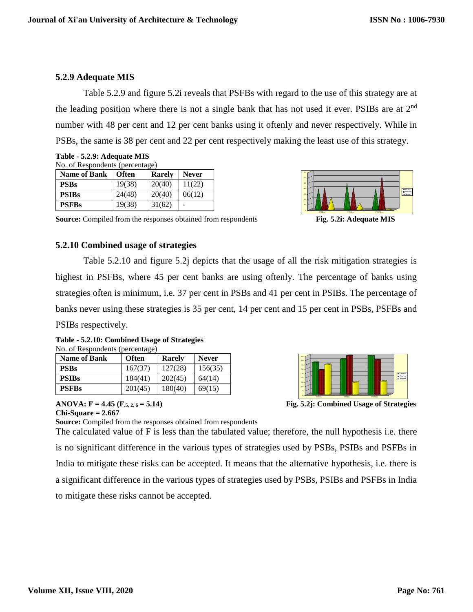## **5.2.9 Adequate MIS**

Table 5.2.9 and figure 5.2i reveals that PSFBs with regard to the use of this strategy are at the leading position where there is not a single bank that has not used it ever. PSIBs are at 2nd number with 48 per cent and 12 per cent banks using it oftenly and never respectively. While in PSBs, the same is 38 per cent and 22 per cent respectively making the least use of this strategy.

| Table - 5.2.9: Adequate MIS     |
|---------------------------------|
| No. of Respondents (percentage) |

| <b>Name of Bank</b> | <b>Often</b> | <b>Rarely</b> | <b>Never</b> |
|---------------------|--------------|---------------|--------------|
| <b>PSBs</b>         | 19(38)       | 20(40)        | 11(22)       |
| <b>PSIBs</b>        | 24(48)       | 20(40)        | 06(12)       |
| <b>PSFBs</b>        | 19(38)       | 31(62)        |              |



**Source:** Compiled from the responses obtained from respondents **Fig. 5.2i: Adequate MIS** 

#### **5.2.10 Combined usage of strategies**

Table 5.2.10 and figure 5.2j depicts that the usage of all the risk mitigation strategies is highest in PSFBs, where 45 per cent banks are using oftenly. The percentage of banks using strategies often is minimum, i.e. 37 per cent in PSBs and 41 per cent in PSIBs. The percentage of banks never using these strategies is 35 per cent, 14 per cent and 15 per cent in PSBs, PSFBs and PSIBs respectively.

**Table - 5.2.10: Combined Usage of Strategies** No. of Respondents (percentage)

| TVO. OF RESPONDENTS (DETCENTAGE) |              |         |              |
|----------------------------------|--------------|---------|--------------|
| <b>Name of Bank</b>              | <b>Often</b> | Rarely  | <b>Never</b> |
| <b>PSBs</b>                      | 167(37)      | 127(28) | 156(35)      |
| <b>PSIBs</b>                     | 184(41)      | 202(45) | 64(14)       |
| <b>PSFBs</b>                     | 201(45)      | 180(40) | 69(15)       |

**Source:** Compiled from the responses obtained from respondents

# **Chi-Square = 2.667**



40 45



The calculated value of F is less than the tabulated value; therefore, the null hypothesis i.e. there is no significant difference in the various types of strategies used by PSBs, PSIBs and PSFBs in India to mitigate these risks can be accepted. It means that the alternative hypothesis, i.e. there is a significant difference in the various types of strategies used by PSBs, PSIBs and PSFBs in India to mitigate these risks cannot be accepted.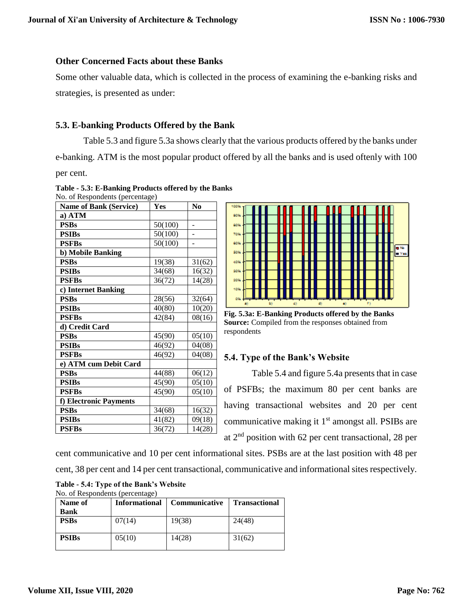#### **Other Concerned Facts about these Banks**

Some other valuable data, which is collected in the process of examining the e-banking risks and strategies, is presented as under:

#### **5.3. E-banking Products Offered by the Bank**

Table 5.3 and figure 5.3a shows clearly that the various products offered by the banks under e-banking. ATM is the most popular product offered by all the banks and is used oftenly with 100 per cent.

| $180.$ Of Respondents (percentage)<br>Name of Bank (Service) | Yes     | N <sub>0</sub> |
|--------------------------------------------------------------|---------|----------------|
| a) ATM                                                       |         |                |
| <b>PSBs</b>                                                  | 50(100) | -              |
| <b>PSIBs</b>                                                 | 50(100) |                |
| <b>PSFBs</b>                                                 | 50(100) | -              |
| b) Mobile Banking                                            |         |                |
| <b>PSBs</b>                                                  | 19(38)  | 31(62)         |
| <b>PSIBs</b>                                                 | 34(68)  | 16(32)         |
| <b>PSFBs</b>                                                 | 36(72)  | 14(28)         |
| c) Internet Banking                                          |         |                |
| <b>PSBs</b>                                                  | 28(56)  | 32(64)         |
| <b>PSIBs</b>                                                 | 40(80)  | 10(20)         |
| <b>PSFBs</b>                                                 | 42(84)  | 08(16)         |
| d) Credit Card                                               |         |                |
| <b>PSBs</b>                                                  | 45(90)  | 05(10)         |
| <b>PSIBs</b>                                                 | 46(92)  | 04(08)         |
| <b>PSFBs</b>                                                 | 46(92)  | 04(08)         |
| e) ATM cum Debit Card                                        |         |                |
| <b>PSBs</b>                                                  | 44(88)  | 06(12)         |
| <b>PSIBs</b>                                                 | 45(90)  | 05(10)         |
| <b>PSFBs</b>                                                 | 45(90)  | 05(10)         |
| f) Electronic Payments                                       |         |                |
| <b>PSBs</b>                                                  | 34(68)  | 16(32)         |
| <b>PSIBs</b>                                                 | 41(82)  | 09(18)         |
| <b>PSFBs</b>                                                 | 36(72)  | 14(28)         |

#### **Table - 5.3: E-Banking Products offered by the Banks**  $No. of **Daenondonte** (p)$



**Fig. 5.3a: E-Banking Products offered by the Banks Source:** Compiled from the responses obtained from respondents

#### **5.4. Type of the Bank's Website**

Table 5.4 and figure 5.4a presents that in case of PSFBs; the maximum 80 per cent banks are having transactional websites and 20 per cent communicative making it  $1<sup>st</sup>$  amongst all. PSIBs are at 2nd position with 62 per cent transactional, 28 per

cent communicative and 10 per cent informational sites. PSBs are at the last position with 48 per cent, 38 per cent and 14 per cent transactional, communicative and informational sites respectively.

| Table - 5.4: Type of the Bank's Website |  |
|-----------------------------------------|--|
| No. of Respondents (percentage)         |  |

| Name of<br><b>Bank</b> | <b>Informational</b> | <b>Communicative</b> | <b>Transactional</b> |
|------------------------|----------------------|----------------------|----------------------|
| <b>PSBs</b>            | 07(14)               | 19(38)               | 24(48)               |
| <b>PSIBs</b>           | 05(10)               | 14(28)               | 31(62)               |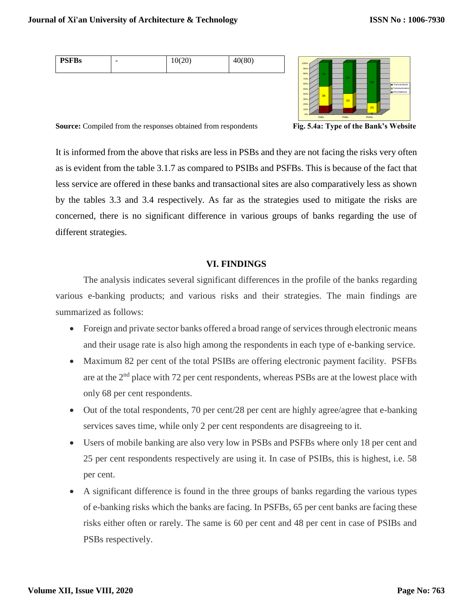| `∩∩،<br>(80)<br><b>PSFBs</b><br>-<br>1 OU<br>*∿ |  |
|-------------------------------------------------|--|
|-------------------------------------------------|--|



**Source:** Compiled from the responses obtained from respondents **Fig. 5.4a: Type of the Bank's Website**

It is informed from the above that risks are less in PSBs and they are not facing the risks very often as is evident from the table 3.1.7 as compared to PSIBs and PSFBs. This is because of the fact that less service are offered in these banks and transactional sites are also comparatively less as shown by the tables 3.3 and 3.4 respectively. As far as the strategies used to mitigate the risks are concerned, there is no significant difference in various groups of banks regarding the use of different strategies.

#### **VI. FINDINGS**

The analysis indicates several significant differences in the profile of the banks regarding various e-banking products; and various risks and their strategies. The main findings are summarized as follows:

- Foreign and private sector banks offered a broad range of services through electronic means and their usage rate is also high among the respondents in each type of e-banking service.
- Maximum 82 per cent of the total PSIBs are offering electronic payment facility. PSFBs are at the 2<sup>nd</sup> place with 72 per cent respondents, whereas PSBs are at the lowest place with only 68 per cent respondents.
- Out of the total respondents, 70 per cent/28 per cent are highly agree/agree that e-banking services saves time, while only 2 per cent respondents are disagreeing to it.
- Users of mobile banking are also very low in PSBs and PSFBs where only 18 per cent and 25 per cent respondents respectively are using it. In case of PSIBs, this is highest, i.e. 58 per cent.
- A significant difference is found in the three groups of banks regarding the various types of e-banking risks which the banks are facing. In PSFBs, 65 per cent banks are facing these risks either often or rarely. The same is 60 per cent and 48 per cent in case of PSIBs and PSBs respectively.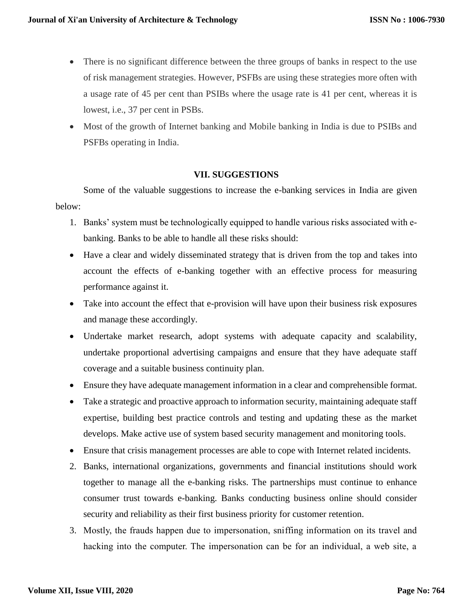- There is no significant difference between the three groups of banks in respect to the use of risk management strategies. However, PSFBs are using these strategies more often with a usage rate of 45 per cent than PSIBs where the usage rate is 41 per cent, whereas it is lowest, i.e., 37 per cent in PSBs.
- Most of the growth of Internet banking and Mobile banking in India is due to PSIBs and PSFBs operating in India.

#### **VII. SUGGESTIONS**

Some of the valuable suggestions to increase the e-banking services in India are given below:

- 1. Banks' system must be technologically equipped to handle various risks associated with ebanking. Banks to be able to handle all these risks should:
- Have a clear and widely disseminated strategy that is driven from the top and takes into account the effects of e-banking together with an effective process for measuring performance against it.
- Take into account the effect that e-provision will have upon their business risk exposures and manage these accordingly.
- Undertake market research, adopt systems with adequate capacity and scalability, undertake proportional advertising campaigns and ensure that they have adequate staff coverage and a suitable business continuity plan.
- Ensure they have adequate management information in a clear and comprehensible format.
- Take a strategic and proactive approach to information security, maintaining adequate staff expertise, building best practice controls and testing and updating these as the market develops. Make active use of system based security management and monitoring tools.
- Ensure that crisis management processes are able to cope with Internet related incidents.
- 2. Banks, international organizations, governments and financial institutions should work together to manage all the e-banking risks. The partnerships must continue to enhance consumer trust towards e-banking. Banks conducting business online should consider security and reliability as their first business priority for customer retention.
- 3. Mostly, the frauds happen due to impersonation, sniffing information on its travel and hacking into the computer. The impersonation can be for an individual, a web site, a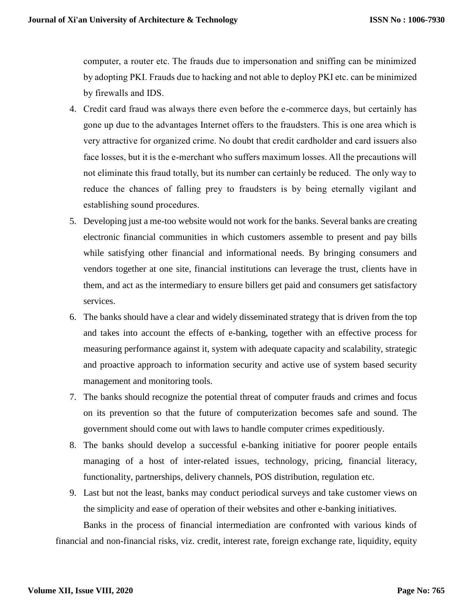computer, a router etc. The frauds due to impersonation and sniffing can be minimized by adopting PKI. Frauds due to hacking and not able to deploy PKI etc. can be minimized by firewalls and IDS.

- 4. Credit card fraud was always there even before the e-commerce days, but certainly has gone up due to the advantages Internet offers to the fraudsters. This is one area which is very attractive for organized crime. No doubt that credit cardholder and card issuers also face losses, but it is the e-merchant who suffers maximum losses. All the precautions will not eliminate this fraud totally, but its number can certainly be reduced. The only way to reduce the chances of falling prey to fraudsters is by being eternally vigilant and establishing sound procedures.
- 5. Developing just a me-too website would not work for the banks. Several banks are creating electronic financial communities in which customers assemble to present and pay bills while satisfying other financial and informational needs. By bringing consumers and vendors together at one site, financial institutions can leverage the trust, clients have in them, and act as the intermediary to ensure billers get paid and consumers get satisfactory services.
- 6. The banks should have a clear and widely disseminated strategy that is driven from the top and takes into account the effects of e-banking, together with an effective process for measuring performance against it, system with adequate capacity and scalability, strategic and proactive approach to information security and active use of system based security management and monitoring tools.
- 7. The banks should recognize the potential threat of computer frauds and crimes and focus on its prevention so that the future of computerization becomes safe and sound. The government should come out with laws to handle computer crimes expeditiously.
- 8. The banks should develop a successful e-banking initiative for poorer people entails managing of a host of inter-related issues, technology, pricing, financial literacy, functionality, partnerships, delivery channels, POS distribution, regulation etc.
- 9. Last but not the least, banks may conduct periodical surveys and take customer views on the simplicity and ease of operation of their websites and other e-banking initiatives.

Banks in the process of financial intermediation are confronted with various kinds of financial and non-financial risks, viz. credit, interest rate, foreign exchange rate, liquidity, equity